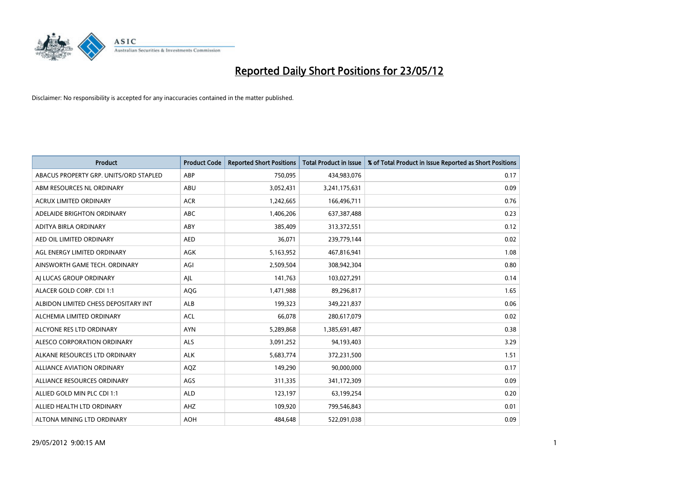

| <b>Product</b>                         | <b>Product Code</b> | <b>Reported Short Positions</b> | <b>Total Product in Issue</b> | % of Total Product in Issue Reported as Short Positions |
|----------------------------------------|---------------------|---------------------------------|-------------------------------|---------------------------------------------------------|
| ABACUS PROPERTY GRP. UNITS/ORD STAPLED | ABP                 | 750,095                         | 434,983,076                   | 0.17                                                    |
| ABM RESOURCES NL ORDINARY              | ABU                 | 3,052,431                       | 3,241,175,631                 | 0.09                                                    |
| <b>ACRUX LIMITED ORDINARY</b>          | <b>ACR</b>          | 1,242,665                       | 166,496,711                   | 0.76                                                    |
| ADELAIDE BRIGHTON ORDINARY             | <b>ABC</b>          | 1,406,206                       | 637,387,488                   | 0.23                                                    |
| ADITYA BIRLA ORDINARY                  | ABY                 | 385,409                         | 313,372,551                   | 0.12                                                    |
| AED OIL LIMITED ORDINARY               | <b>AED</b>          | 36,071                          | 239,779,144                   | 0.02                                                    |
| AGL ENERGY LIMITED ORDINARY            | AGK                 | 5,163,952                       | 467,816,941                   | 1.08                                                    |
| AINSWORTH GAME TECH. ORDINARY          | AGI                 | 2,509,504                       | 308,942,304                   | 0.80                                                    |
| AI LUCAS GROUP ORDINARY                | AJL                 | 141,763                         | 103,027,291                   | 0.14                                                    |
| ALACER GOLD CORP. CDI 1:1              | AQG                 | 1,471,988                       | 89,296,817                    | 1.65                                                    |
| ALBIDON LIMITED CHESS DEPOSITARY INT   | ALB                 | 199,323                         | 349,221,837                   | 0.06                                                    |
| ALCHEMIA LIMITED ORDINARY              | <b>ACL</b>          | 66,078                          | 280,617,079                   | 0.02                                                    |
| ALCYONE RES LTD ORDINARY               | <b>AYN</b>          | 5,289,868                       | 1,385,691,487                 | 0.38                                                    |
| ALESCO CORPORATION ORDINARY            | ALS                 | 3,091,252                       | 94,193,403                    | 3.29                                                    |
| ALKANE RESOURCES LTD ORDINARY          | <b>ALK</b>          | 5,683,774                       | 372,231,500                   | 1.51                                                    |
| ALLIANCE AVIATION ORDINARY             | AQZ                 | 149,290                         | 90,000,000                    | 0.17                                                    |
| ALLIANCE RESOURCES ORDINARY            | AGS                 | 311,335                         | 341,172,309                   | 0.09                                                    |
| ALLIED GOLD MIN PLC CDI 1:1            | <b>ALD</b>          | 123,197                         | 63,199,254                    | 0.20                                                    |
| ALLIED HEALTH LTD ORDINARY             | AHZ                 | 109,920                         | 799,546,843                   | 0.01                                                    |
| ALTONA MINING LTD ORDINARY             | <b>AOH</b>          | 484,648                         | 522,091,038                   | 0.09                                                    |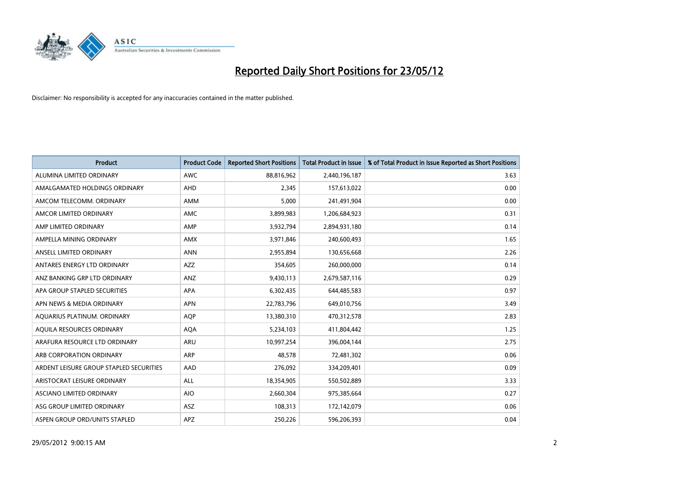

| <b>Product</b>                          | <b>Product Code</b> | <b>Reported Short Positions</b> | <b>Total Product in Issue</b> | % of Total Product in Issue Reported as Short Positions |
|-----------------------------------------|---------------------|---------------------------------|-------------------------------|---------------------------------------------------------|
| ALUMINA LIMITED ORDINARY                | <b>AWC</b>          | 88,816,962                      | 2,440,196,187                 | 3.63                                                    |
| AMALGAMATED HOLDINGS ORDINARY           | AHD                 | 2,345                           | 157,613,022                   | 0.00                                                    |
| AMCOM TELECOMM, ORDINARY                | AMM                 | 5,000                           | 241,491,904                   | 0.00                                                    |
| AMCOR LIMITED ORDINARY                  | AMC                 | 3,899,983                       | 1,206,684,923                 | 0.31                                                    |
| AMP LIMITED ORDINARY                    | AMP                 | 3,932,794                       | 2,894,931,180                 | 0.14                                                    |
| AMPELLA MINING ORDINARY                 | <b>AMX</b>          | 3,971,846                       | 240,600,493                   | 1.65                                                    |
| ANSELL LIMITED ORDINARY                 | <b>ANN</b>          | 2,955,894                       | 130,656,668                   | 2.26                                                    |
| ANTARES ENERGY LTD ORDINARY             | AZZ                 | 354,605                         | 260,000,000                   | 0.14                                                    |
| ANZ BANKING GRP LTD ORDINARY            | ANZ                 | 9,430,113                       | 2,679,587,116                 | 0.29                                                    |
| APA GROUP STAPLED SECURITIES            | <b>APA</b>          | 6,302,435                       | 644,485,583                   | 0.97                                                    |
| APN NEWS & MEDIA ORDINARY               | <b>APN</b>          | 22,783,796                      | 649,010,756                   | 3.49                                                    |
| AQUARIUS PLATINUM. ORDINARY             | AQP                 | 13,380,310                      | 470,312,578                   | 2.83                                                    |
| AQUILA RESOURCES ORDINARY               | <b>AQA</b>          | 5,234,103                       | 411,804,442                   | 1.25                                                    |
| ARAFURA RESOURCE LTD ORDINARY           | ARU                 | 10,997,254                      | 396,004,144                   | 2.75                                                    |
| ARB CORPORATION ORDINARY                | <b>ARP</b>          | 48,578                          | 72,481,302                    | 0.06                                                    |
| ARDENT LEISURE GROUP STAPLED SECURITIES | AAD                 | 276,092                         | 334,209,401                   | 0.09                                                    |
| ARISTOCRAT LEISURE ORDINARY             | ALL                 | 18,354,905                      | 550,502,889                   | 3.33                                                    |
| ASCIANO LIMITED ORDINARY                | <b>AIO</b>          | 2,660,304                       | 975,385,664                   | 0.27                                                    |
| ASG GROUP LIMITED ORDINARY              | ASZ                 | 108,313                         | 172,142,079                   | 0.06                                                    |
| ASPEN GROUP ORD/UNITS STAPLED           | APZ                 | 250,226                         | 596,206,393                   | 0.04                                                    |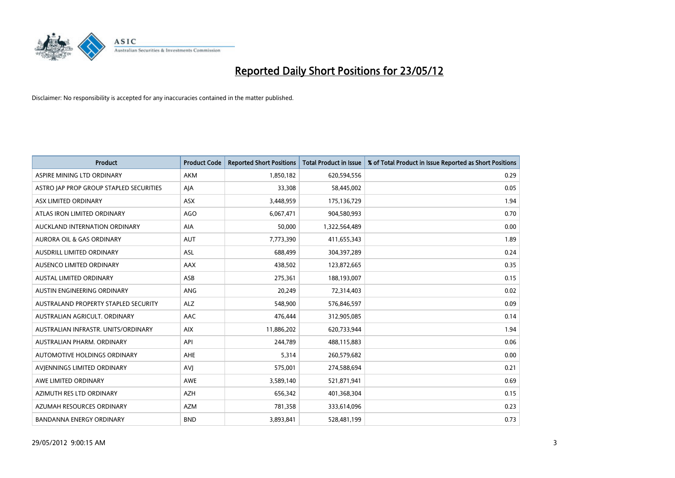

| <b>Product</b>                          | <b>Product Code</b> | <b>Reported Short Positions</b> | <b>Total Product in Issue</b> | % of Total Product in Issue Reported as Short Positions |
|-----------------------------------------|---------------------|---------------------------------|-------------------------------|---------------------------------------------------------|
| ASPIRE MINING LTD ORDINARY              | <b>AKM</b>          | 1,850,182                       | 620,594,556                   | 0.29                                                    |
| ASTRO JAP PROP GROUP STAPLED SECURITIES | AJA                 | 33,308                          | 58,445,002                    | 0.05                                                    |
| ASX LIMITED ORDINARY                    | <b>ASX</b>          | 3,448,959                       | 175,136,729                   | 1.94                                                    |
| ATLAS IRON LIMITED ORDINARY             | AGO                 | 6,067,471                       | 904,580,993                   | 0.70                                                    |
| AUCKLAND INTERNATION ORDINARY           | AIA                 | 50,000                          | 1,322,564,489                 | 0.00                                                    |
| <b>AURORA OIL &amp; GAS ORDINARY</b>    | <b>AUT</b>          | 7,773,390                       | 411,655,343                   | 1.89                                                    |
| AUSDRILL LIMITED ORDINARY               | ASL                 | 688,499                         | 304,397,289                   | 0.24                                                    |
| AUSENCO LIMITED ORDINARY                | AAX                 | 438,502                         | 123,872,665                   | 0.35                                                    |
| <b>AUSTAL LIMITED ORDINARY</b>          | ASB                 | 275,361                         | 188,193,007                   | 0.15                                                    |
| AUSTIN ENGINEERING ORDINARY             | ANG                 | 20,249                          | 72,314,403                    | 0.02                                                    |
| AUSTRALAND PROPERTY STAPLED SECURITY    | <b>ALZ</b>          | 548,900                         | 576,846,597                   | 0.09                                                    |
| AUSTRALIAN AGRICULT, ORDINARY           | AAC                 | 476,444                         | 312,905,085                   | 0.14                                                    |
| AUSTRALIAN INFRASTR. UNITS/ORDINARY     | <b>AIX</b>          | 11,886,202                      | 620,733,944                   | 1.94                                                    |
| AUSTRALIAN PHARM. ORDINARY              | API                 | 244,789                         | 488,115,883                   | 0.06                                                    |
| AUTOMOTIVE HOLDINGS ORDINARY            | AHE                 | 5,314                           | 260,579,682                   | 0.00                                                    |
| AVIENNINGS LIMITED ORDINARY             | <b>AVI</b>          | 575,001                         | 274,588,694                   | 0.21                                                    |
| AWE LIMITED ORDINARY                    | AWE                 | 3,589,140                       | 521,871,941                   | 0.69                                                    |
| AZIMUTH RES LTD ORDINARY                | <b>AZH</b>          | 656,342                         | 401,368,304                   | 0.15                                                    |
| AZUMAH RESOURCES ORDINARY               | AZM                 | 781,358                         | 333,614,096                   | 0.23                                                    |
| <b>BANDANNA ENERGY ORDINARY</b>         | <b>BND</b>          | 3,893,841                       | 528,481,199                   | 0.73                                                    |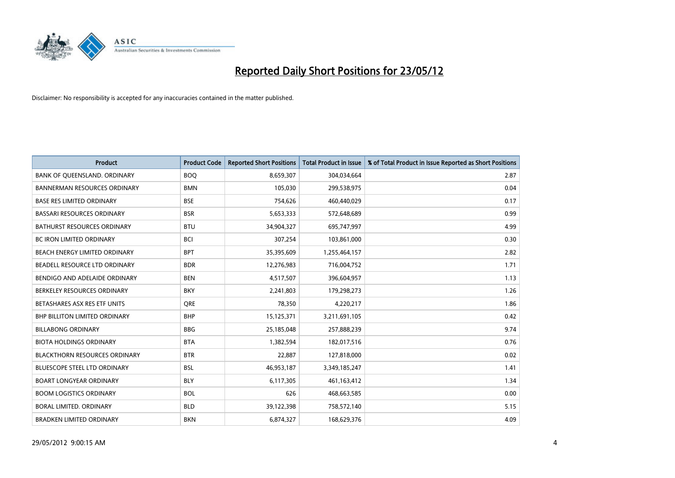

| <b>Product</b>                       | <b>Product Code</b> | <b>Reported Short Positions</b> | <b>Total Product in Issue</b> | % of Total Product in Issue Reported as Short Positions |
|--------------------------------------|---------------------|---------------------------------|-------------------------------|---------------------------------------------------------|
| BANK OF QUEENSLAND. ORDINARY         | <b>BOQ</b>          | 8,659,307                       | 304,034,664                   | 2.87                                                    |
| BANNERMAN RESOURCES ORDINARY         | <b>BMN</b>          | 105,030                         | 299,538,975                   | 0.04                                                    |
| <b>BASE RES LIMITED ORDINARY</b>     | <b>BSE</b>          | 754,626                         | 460,440,029                   | 0.17                                                    |
| BASSARI RESOURCES ORDINARY           | <b>BSR</b>          | 5,653,333                       | 572,648,689                   | 0.99                                                    |
| <b>BATHURST RESOURCES ORDINARY</b>   | <b>BTU</b>          | 34,904,327                      | 695,747,997                   | 4.99                                                    |
| <b>BC IRON LIMITED ORDINARY</b>      | <b>BCI</b>          | 307,254                         | 103,861,000                   | 0.30                                                    |
| BEACH ENERGY LIMITED ORDINARY        | <b>BPT</b>          | 35,395,609                      | 1,255,464,157                 | 2.82                                                    |
| BEADELL RESOURCE LTD ORDINARY        | <b>BDR</b>          | 12,276,983                      | 716,004,752                   | 1.71                                                    |
| BENDIGO AND ADELAIDE ORDINARY        | <b>BEN</b>          | 4,517,507                       | 396,604,957                   | 1.13                                                    |
| BERKELEY RESOURCES ORDINARY          | <b>BKY</b>          | 2,241,803                       | 179,298,273                   | 1.26                                                    |
| BETASHARES ASX RES ETF UNITS         | <b>ORE</b>          | 78,350                          | 4,220,217                     | 1.86                                                    |
| BHP BILLITON LIMITED ORDINARY        | <b>BHP</b>          | 15,125,371                      | 3,211,691,105                 | 0.42                                                    |
| <b>BILLABONG ORDINARY</b>            | <b>BBG</b>          | 25,185,048                      | 257,888,239                   | 9.74                                                    |
| <b>BIOTA HOLDINGS ORDINARY</b>       | <b>BTA</b>          | 1,382,594                       | 182,017,516                   | 0.76                                                    |
| <b>BLACKTHORN RESOURCES ORDINARY</b> | <b>BTR</b>          | 22,887                          | 127,818,000                   | 0.02                                                    |
| BLUESCOPE STEEL LTD ORDINARY         | <b>BSL</b>          | 46,953,187                      | 3,349,185,247                 | 1.41                                                    |
| <b>BOART LONGYEAR ORDINARY</b>       | <b>BLY</b>          | 6,117,305                       | 461,163,412                   | 1.34                                                    |
| <b>BOOM LOGISTICS ORDINARY</b>       | <b>BOL</b>          | 626                             | 468,663,585                   | 0.00                                                    |
| <b>BORAL LIMITED, ORDINARY</b>       | <b>BLD</b>          | 39,122,398                      | 758,572,140                   | 5.15                                                    |
| <b>BRADKEN LIMITED ORDINARY</b>      | <b>BKN</b>          | 6,874,327                       | 168,629,376                   | 4.09                                                    |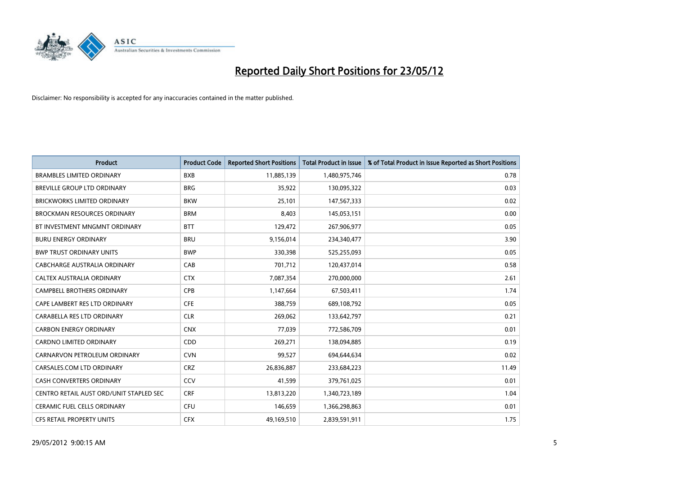

| <b>Product</b>                          | <b>Product Code</b> | <b>Reported Short Positions</b> | <b>Total Product in Issue</b> | % of Total Product in Issue Reported as Short Positions |
|-----------------------------------------|---------------------|---------------------------------|-------------------------------|---------------------------------------------------------|
| <b>BRAMBLES LIMITED ORDINARY</b>        | <b>BXB</b>          | 11,885,139                      | 1,480,975,746                 | 0.78                                                    |
| BREVILLE GROUP LTD ORDINARY             | <b>BRG</b>          | 35,922                          | 130,095,322                   | 0.03                                                    |
| <b>BRICKWORKS LIMITED ORDINARY</b>      | <b>BKW</b>          | 25,101                          | 147,567,333                   | 0.02                                                    |
| <b>BROCKMAN RESOURCES ORDINARY</b>      | <b>BRM</b>          | 8,403                           | 145,053,151                   | 0.00                                                    |
| BT INVESTMENT MNGMNT ORDINARY           | <b>BTT</b>          | 129,472                         | 267,906,977                   | 0.05                                                    |
| <b>BURU ENERGY ORDINARY</b>             | <b>BRU</b>          | 9,156,014                       | 234,340,477                   | 3.90                                                    |
| <b>BWP TRUST ORDINARY UNITS</b>         | <b>BWP</b>          | 330,398                         | 525,255,093                   | 0.05                                                    |
| <b>CABCHARGE AUSTRALIA ORDINARY</b>     | CAB                 | 701,712                         | 120,437,014                   | 0.58                                                    |
| CALTEX AUSTRALIA ORDINARY               | <b>CTX</b>          | 7,087,354                       | 270,000,000                   | 2.61                                                    |
| <b>CAMPBELL BROTHERS ORDINARY</b>       | <b>CPB</b>          | 1,147,664                       | 67,503,411                    | 1.74                                                    |
| CAPE LAMBERT RES LTD ORDINARY           | <b>CFE</b>          | 388,759                         | 689,108,792                   | 0.05                                                    |
| CARABELLA RES LTD ORDINARY              | <b>CLR</b>          | 269,062                         | 133,642,797                   | 0.21                                                    |
| <b>CARBON ENERGY ORDINARY</b>           | <b>CNX</b>          | 77,039                          | 772,586,709                   | 0.01                                                    |
| <b>CARDNO LIMITED ORDINARY</b>          | CDD                 | 269,271                         | 138,094,885                   | 0.19                                                    |
| CARNARVON PETROLEUM ORDINARY            | <b>CVN</b>          | 99,527                          | 694,644,634                   | 0.02                                                    |
| CARSALES.COM LTD ORDINARY               | <b>CRZ</b>          | 26,836,887                      | 233,684,223                   | 11.49                                                   |
| <b>CASH CONVERTERS ORDINARY</b>         | CCV                 | 41,599                          | 379,761,025                   | 0.01                                                    |
| CENTRO RETAIL AUST ORD/UNIT STAPLED SEC | <b>CRF</b>          | 13,813,220                      | 1,340,723,189                 | 1.04                                                    |
| CERAMIC FUEL CELLS ORDINARY             | <b>CFU</b>          | 146,659                         | 1,366,298,863                 | 0.01                                                    |
| CFS RETAIL PROPERTY UNITS               | <b>CFX</b>          | 49,169,510                      | 2,839,591,911                 | 1.75                                                    |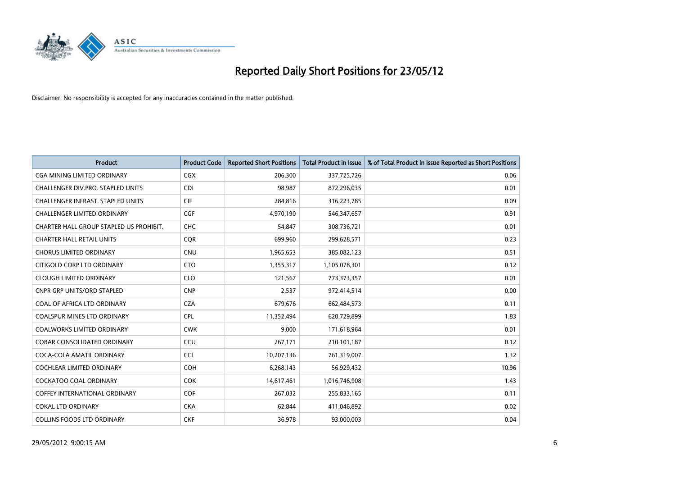

| <b>Product</b>                           | <b>Product Code</b> | <b>Reported Short Positions</b> | <b>Total Product in Issue</b> | % of Total Product in Issue Reported as Short Positions |
|------------------------------------------|---------------------|---------------------------------|-------------------------------|---------------------------------------------------------|
| <b>CGA MINING LIMITED ORDINARY</b>       | CGX                 | 206,300                         | 337,725,726                   | 0.06                                                    |
| CHALLENGER DIV.PRO. STAPLED UNITS        | <b>CDI</b>          | 98,987                          | 872,296,035                   | 0.01                                                    |
| <b>CHALLENGER INFRAST, STAPLED UNITS</b> | <b>CIF</b>          | 284,816                         | 316,223,785                   | 0.09                                                    |
| CHALLENGER LIMITED ORDINARY              | <b>CGF</b>          | 4,970,190                       | 546,347,657                   | 0.91                                                    |
| CHARTER HALL GROUP STAPLED US PROHIBIT.  | <b>CHC</b>          | 54,847                          | 308,736,721                   | 0.01                                                    |
| <b>CHARTER HALL RETAIL UNITS</b>         | CQR                 | 699,960                         | 299,628,571                   | 0.23                                                    |
| <b>CHORUS LIMITED ORDINARY</b>           | <b>CNU</b>          | 1,965,653                       | 385,082,123                   | 0.51                                                    |
| CITIGOLD CORP LTD ORDINARY               | <b>CTO</b>          | 1,355,317                       | 1,105,078,301                 | 0.12                                                    |
| <b>CLOUGH LIMITED ORDINARY</b>           | <b>CLO</b>          | 121,567                         | 773,373,357                   | 0.01                                                    |
| <b>CNPR GRP UNITS/ORD STAPLED</b>        | <b>CNP</b>          | 2,537                           | 972,414,514                   | 0.00                                                    |
| COAL OF AFRICA LTD ORDINARY              | <b>CZA</b>          | 679,676                         | 662,484,573                   | 0.11                                                    |
| <b>COALSPUR MINES LTD ORDINARY</b>       | <b>CPL</b>          | 11,352,494                      | 620,729,899                   | 1.83                                                    |
| COALWORKS LIMITED ORDINARY               | <b>CWK</b>          | 9,000                           | 171,618,964                   | 0.01                                                    |
| <b>COBAR CONSOLIDATED ORDINARY</b>       | CCU                 | 267,171                         | 210,101,187                   | 0.12                                                    |
| COCA-COLA AMATIL ORDINARY                | <b>CCL</b>          | 10,207,136                      | 761,319,007                   | 1.32                                                    |
| COCHLEAR LIMITED ORDINARY                | <b>COH</b>          | 6,268,143                       | 56,929,432                    | 10.96                                                   |
| <b>COCKATOO COAL ORDINARY</b>            | <b>COK</b>          | 14,617,461                      | 1,016,746,908                 | 1.43                                                    |
| <b>COFFEY INTERNATIONAL ORDINARY</b>     | <b>COF</b>          | 267,032                         | 255,833,165                   | 0.11                                                    |
| <b>COKAL LTD ORDINARY</b>                | <b>CKA</b>          | 62,844                          | 411,046,892                   | 0.02                                                    |
| <b>COLLINS FOODS LTD ORDINARY</b>        | <b>CKF</b>          | 36,978                          | 93,000,003                    | 0.04                                                    |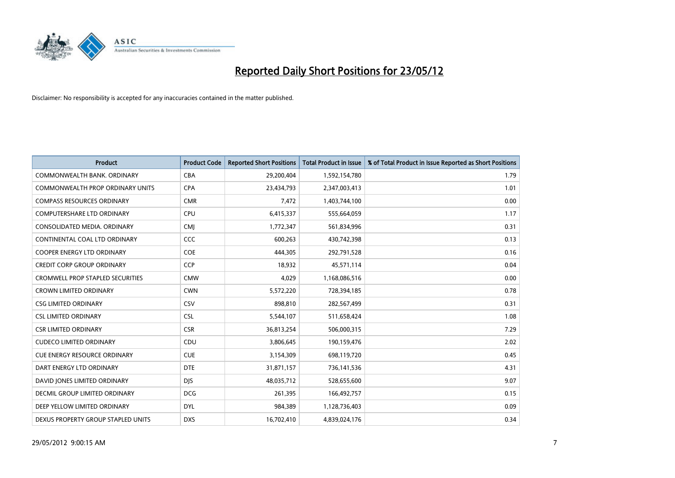

| <b>Product</b>                      | <b>Product Code</b> | <b>Reported Short Positions</b> | <b>Total Product in Issue</b> | % of Total Product in Issue Reported as Short Positions |
|-------------------------------------|---------------------|---------------------------------|-------------------------------|---------------------------------------------------------|
| COMMONWEALTH BANK, ORDINARY         | <b>CBA</b>          | 29,200,404                      | 1,592,154,780                 | 1.79                                                    |
| COMMONWEALTH PROP ORDINARY UNITS    | <b>CPA</b>          | 23,434,793                      | 2,347,003,413                 | 1.01                                                    |
| <b>COMPASS RESOURCES ORDINARY</b>   | <b>CMR</b>          | 7,472                           | 1,403,744,100                 | 0.00                                                    |
| <b>COMPUTERSHARE LTD ORDINARY</b>   | <b>CPU</b>          | 6,415,337                       | 555,664,059                   | 1.17                                                    |
| CONSOLIDATED MEDIA, ORDINARY        | <b>CMI</b>          | 1,772,347                       | 561,834,996                   | 0.31                                                    |
| CONTINENTAL COAL LTD ORDINARY       | CCC                 | 600,263                         | 430,742,398                   | 0.13                                                    |
| <b>COOPER ENERGY LTD ORDINARY</b>   | <b>COE</b>          | 444,305                         | 292,791,528                   | 0.16                                                    |
| <b>CREDIT CORP GROUP ORDINARY</b>   | <b>CCP</b>          | 18,932                          | 45,571,114                    | 0.04                                                    |
| CROMWELL PROP STAPLED SECURITIES    | <b>CMW</b>          | 4,029                           | 1,168,086,516                 | 0.00                                                    |
| <b>CROWN LIMITED ORDINARY</b>       | <b>CWN</b>          | 5,572,220                       | 728,394,185                   | 0.78                                                    |
| <b>CSG LIMITED ORDINARY</b>         | CSV                 | 898,810                         | 282,567,499                   | 0.31                                                    |
| <b>CSL LIMITED ORDINARY</b>         | <b>CSL</b>          | 5,544,107                       | 511,658,424                   | 1.08                                                    |
| <b>CSR LIMITED ORDINARY</b>         | <b>CSR</b>          | 36,813,254                      | 506,000,315                   | 7.29                                                    |
| <b>CUDECO LIMITED ORDINARY</b>      | CDU                 | 3,806,645                       | 190,159,476                   | 2.02                                                    |
| <b>CUE ENERGY RESOURCE ORDINARY</b> | <b>CUE</b>          | 3,154,309                       | 698,119,720                   | 0.45                                                    |
| DART ENERGY LTD ORDINARY            | <b>DTE</b>          | 31,871,157                      | 736,141,536                   | 4.31                                                    |
| DAVID JONES LIMITED ORDINARY        | <b>DJS</b>          | 48,035,712                      | 528,655,600                   | 9.07                                                    |
| DECMIL GROUP LIMITED ORDINARY       | <b>DCG</b>          | 261,395                         | 166,492,757                   | 0.15                                                    |
| DEEP YELLOW LIMITED ORDINARY        | <b>DYL</b>          | 984,389                         | 1,128,736,403                 | 0.09                                                    |
| DEXUS PROPERTY GROUP STAPLED UNITS  | <b>DXS</b>          | 16,702,410                      | 4,839,024,176                 | 0.34                                                    |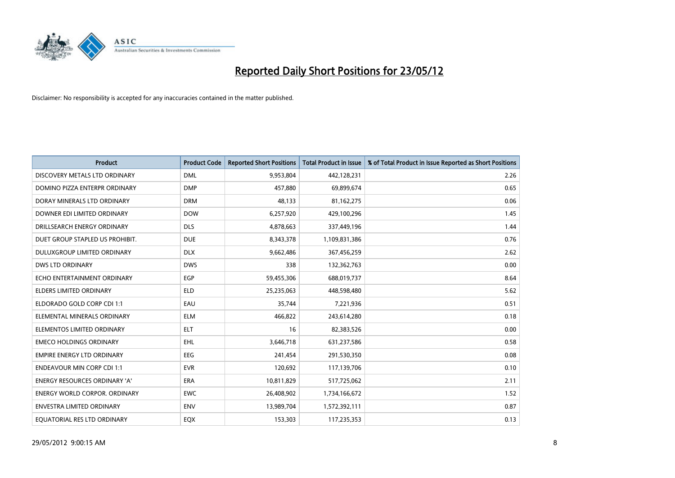

| <b>Product</b>                       | <b>Product Code</b> | <b>Reported Short Positions</b> | <b>Total Product in Issue</b> | % of Total Product in Issue Reported as Short Positions |
|--------------------------------------|---------------------|---------------------------------|-------------------------------|---------------------------------------------------------|
| DISCOVERY METALS LTD ORDINARY        | <b>DML</b>          | 9,953,804                       | 442,128,231                   | 2.26                                                    |
| DOMINO PIZZA ENTERPR ORDINARY        | <b>DMP</b>          | 457.880                         | 69,899,674                    | 0.65                                                    |
| DORAY MINERALS LTD ORDINARY          | <b>DRM</b>          | 48,133                          | 81,162,275                    | 0.06                                                    |
| DOWNER EDI LIMITED ORDINARY          | <b>DOW</b>          | 6,257,920                       | 429,100,296                   | 1.45                                                    |
| DRILLSEARCH ENERGY ORDINARY          | <b>DLS</b>          | 4,878,663                       | 337,449,196                   | 1.44                                                    |
| DUET GROUP STAPLED US PROHIBIT.      | <b>DUE</b>          | 8,343,378                       | 1,109,831,386                 | 0.76                                                    |
| DULUXGROUP LIMITED ORDINARY          | <b>DLX</b>          | 9,662,486                       | 367,456,259                   | 2.62                                                    |
| <b>DWS LTD ORDINARY</b>              | <b>DWS</b>          | 338                             | 132,362,763                   | 0.00                                                    |
| ECHO ENTERTAINMENT ORDINARY          | <b>EGP</b>          | 59,455,306                      | 688,019,737                   | 8.64                                                    |
| <b>ELDERS LIMITED ORDINARY</b>       | <b>ELD</b>          | 25,235,063                      | 448,598,480                   | 5.62                                                    |
| ELDORADO GOLD CORP CDI 1:1           | EAU                 | 35,744                          | 7,221,936                     | 0.51                                                    |
| ELEMENTAL MINERALS ORDINARY          | ELM                 | 466,822                         | 243,614,280                   | 0.18                                                    |
| ELEMENTOS LIMITED ORDINARY           | <b>ELT</b>          | 16                              | 82,383,526                    | 0.00                                                    |
| <b>EMECO HOLDINGS ORDINARY</b>       | <b>EHL</b>          | 3,646,718                       | 631,237,586                   | 0.58                                                    |
| <b>EMPIRE ENERGY LTD ORDINARY</b>    | <b>EEG</b>          | 241,454                         | 291,530,350                   | 0.08                                                    |
| <b>ENDEAVOUR MIN CORP CDI 1:1</b>    | <b>EVR</b>          | 120,692                         | 117,139,706                   | 0.10                                                    |
| <b>ENERGY RESOURCES ORDINARY 'A'</b> | <b>ERA</b>          | 10,811,829                      | 517,725,062                   | 2.11                                                    |
| ENERGY WORLD CORPOR. ORDINARY        | <b>EWC</b>          | 26,408,902                      | 1,734,166,672                 | 1.52                                                    |
| <b>ENVESTRA LIMITED ORDINARY</b>     | <b>ENV</b>          | 13,989,704                      | 1,572,392,111                 | 0.87                                                    |
| EQUATORIAL RES LTD ORDINARY          | EQX                 | 153,303                         | 117,235,353                   | 0.13                                                    |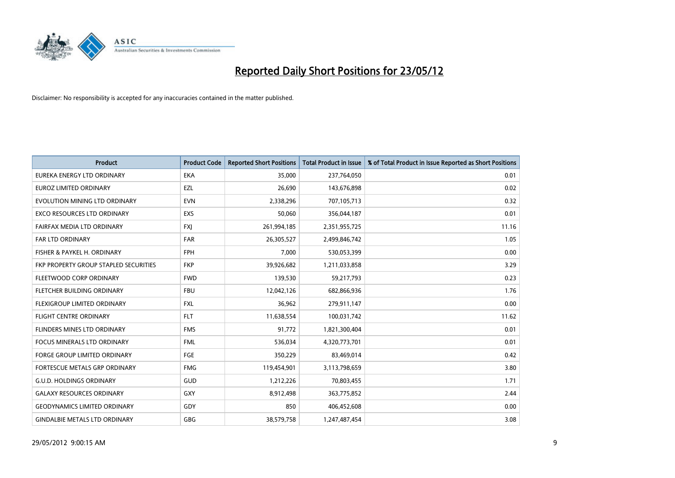

| <b>Product</b>                        | <b>Product Code</b> | <b>Reported Short Positions</b> | <b>Total Product in Issue</b> | % of Total Product in Issue Reported as Short Positions |
|---------------------------------------|---------------------|---------------------------------|-------------------------------|---------------------------------------------------------|
| EUREKA ENERGY LTD ORDINARY            | <b>EKA</b>          | 35,000                          | 237,764,050                   | 0.01                                                    |
| EUROZ LIMITED ORDINARY                | EZL                 | 26,690                          | 143,676,898                   | 0.02                                                    |
| EVOLUTION MINING LTD ORDINARY         | <b>EVN</b>          | 2,338,296                       | 707,105,713                   | 0.32                                                    |
| EXCO RESOURCES LTD ORDINARY           | EXS                 | 50,060                          | 356,044,187                   | 0.01                                                    |
| FAIRFAX MEDIA LTD ORDINARY            | <b>FXI</b>          | 261,994,185                     | 2,351,955,725                 | 11.16                                                   |
| <b>FAR LTD ORDINARY</b>               | <b>FAR</b>          | 26,305,527                      | 2,499,846,742                 | 1.05                                                    |
| FISHER & PAYKEL H. ORDINARY           | <b>FPH</b>          | 7,000                           | 530,053,399                   | 0.00                                                    |
| FKP PROPERTY GROUP STAPLED SECURITIES | <b>FKP</b>          | 39,926,682                      | 1,211,033,858                 | 3.29                                                    |
| FLEETWOOD CORP ORDINARY               | <b>FWD</b>          | 139,530                         | 59,217,793                    | 0.23                                                    |
| FLETCHER BUILDING ORDINARY            | <b>FBU</b>          | 12,042,126                      | 682,866,936                   | 1.76                                                    |
| FLEXIGROUP LIMITED ORDINARY           | <b>FXL</b>          | 36,962                          | 279,911,147                   | 0.00                                                    |
| <b>FLIGHT CENTRE ORDINARY</b>         | <b>FLT</b>          | 11,638,554                      | 100,031,742                   | 11.62                                                   |
| FLINDERS MINES LTD ORDINARY           | <b>FMS</b>          | 91,772                          | 1,821,300,404                 | 0.01                                                    |
| <b>FOCUS MINERALS LTD ORDINARY</b>    | <b>FML</b>          | 536,034                         | 4,320,773,701                 | 0.01                                                    |
| <b>FORGE GROUP LIMITED ORDINARY</b>   | FGE                 | 350,229                         | 83,469,014                    | 0.42                                                    |
| FORTESCUE METALS GRP ORDINARY         | <b>FMG</b>          | 119,454,901                     | 3,113,798,659                 | 3.80                                                    |
| <b>G.U.D. HOLDINGS ORDINARY</b>       | GUD                 | 1,212,226                       | 70,803,455                    | 1.71                                                    |
| <b>GALAXY RESOURCES ORDINARY</b>      | GXY                 | 8,912,498                       | 363,775,852                   | 2.44                                                    |
| <b>GEODYNAMICS LIMITED ORDINARY</b>   | GDY                 | 850                             | 406,452,608                   | 0.00                                                    |
| <b>GINDALBIE METALS LTD ORDINARY</b>  | GBG                 | 38,579,758                      | 1,247,487,454                 | 3.08                                                    |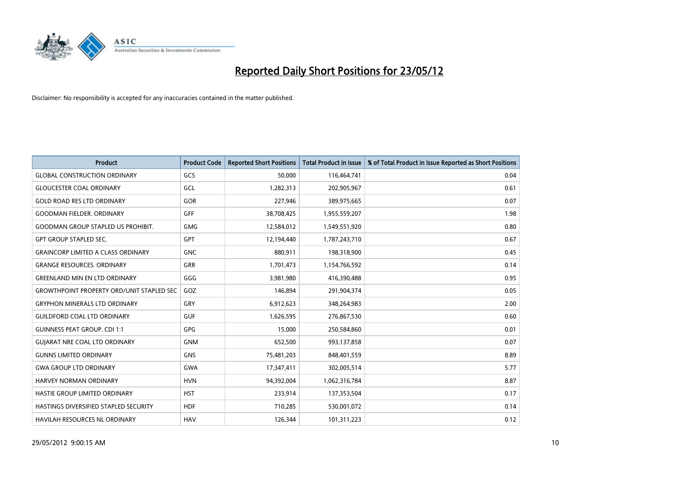

| <b>Product</b>                                   | <b>Product Code</b> | <b>Reported Short Positions</b> | <b>Total Product in Issue</b> | % of Total Product in Issue Reported as Short Positions |
|--------------------------------------------------|---------------------|---------------------------------|-------------------------------|---------------------------------------------------------|
| <b>GLOBAL CONSTRUCTION ORDINARY</b>              | GCS                 | 50,000                          | 116,464,741                   | 0.04                                                    |
| <b>GLOUCESTER COAL ORDINARY</b>                  | GCL                 | 1,282,313                       | 202,905,967                   | 0.61                                                    |
| <b>GOLD ROAD RES LTD ORDINARY</b>                | GOR                 | 227,946                         | 389,975,665                   | 0.07                                                    |
| <b>GOODMAN FIELDER, ORDINARY</b>                 | GFF                 | 38,708,425                      | 1,955,559,207                 | 1.98                                                    |
| <b>GOODMAN GROUP STAPLED US PROHIBIT.</b>        | <b>GMG</b>          | 12,584,012                      | 1,549,551,920                 | 0.80                                                    |
| <b>GPT GROUP STAPLED SEC.</b>                    | <b>GPT</b>          | 12,194,440                      | 1,787,243,710                 | 0.67                                                    |
| <b>GRAINCORP LIMITED A CLASS ORDINARY</b>        | <b>GNC</b>          | 880,911                         | 198,318,900                   | 0.45                                                    |
| <b>GRANGE RESOURCES. ORDINARY</b>                | GRR                 | 1,701,473                       | 1,154,766,592                 | 0.14                                                    |
| <b>GREENLAND MIN EN LTD ORDINARY</b>             | GGG                 | 3,981,980                       | 416,390,488                   | 0.95                                                    |
| <b>GROWTHPOINT PROPERTY ORD/UNIT STAPLED SEC</b> | GOZ                 | 146,894                         | 291,904,374                   | 0.05                                                    |
| <b>GRYPHON MINERALS LTD ORDINARY</b>             | GRY                 | 6,912,623                       | 348,264,983                   | 2.00                                                    |
| <b>GUILDFORD COAL LTD ORDINARY</b>               | <b>GUF</b>          | 1,626,595                       | 276,867,530                   | 0.60                                                    |
| <b>GUINNESS PEAT GROUP. CDI 1:1</b>              | GPG                 | 15,000                          | 250,584,860                   | 0.01                                                    |
| <b>GUIARAT NRE COAL LTD ORDINARY</b>             | <b>GNM</b>          | 652,500                         | 993,137,858                   | 0.07                                                    |
| <b>GUNNS LIMITED ORDINARY</b>                    | <b>GNS</b>          | 75,481,203                      | 848,401,559                   | 8.89                                                    |
| <b>GWA GROUP LTD ORDINARY</b>                    | <b>GWA</b>          | 17,347,411                      | 302,005,514                   | 5.77                                                    |
| HARVEY NORMAN ORDINARY                           | <b>HVN</b>          | 94,392,004                      | 1,062,316,784                 | 8.87                                                    |
| HASTIE GROUP LIMITED ORDINARY                    | <b>HST</b>          | 233,914                         | 137,353,504                   | 0.17                                                    |
| HASTINGS DIVERSIFIED STAPLED SECURITY            | <b>HDF</b>          | 710,285                         | 530,001,072                   | 0.14                                                    |
| HAVILAH RESOURCES NL ORDINARY                    | <b>HAV</b>          | 126,344                         | 101,311,223                   | 0.12                                                    |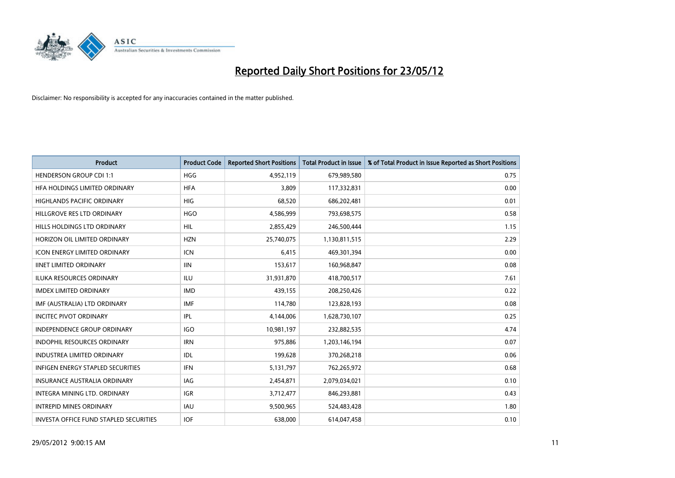

| <b>Product</b>                         | <b>Product Code</b> | <b>Reported Short Positions</b> | <b>Total Product in Issue</b> | % of Total Product in Issue Reported as Short Positions |
|----------------------------------------|---------------------|---------------------------------|-------------------------------|---------------------------------------------------------|
| <b>HENDERSON GROUP CDI 1:1</b>         | <b>HGG</b>          | 4,952,119                       | 679,989,580                   | 0.75                                                    |
| HFA HOLDINGS LIMITED ORDINARY          | <b>HFA</b>          | 3,809                           | 117,332,831                   | 0.00                                                    |
| <b>HIGHLANDS PACIFIC ORDINARY</b>      | <b>HIG</b>          | 68,520                          | 686,202,481                   | 0.01                                                    |
| HILLGROVE RES LTD ORDINARY             | <b>HGO</b>          | 4,586,999                       | 793,698,575                   | 0.58                                                    |
| HILLS HOLDINGS LTD ORDINARY            | <b>HIL</b>          | 2,855,429                       | 246,500,444                   | 1.15                                                    |
| HORIZON OIL LIMITED ORDINARY           | <b>HZN</b>          | 25,740,075                      | 1,130,811,515                 | 2.29                                                    |
| <b>ICON ENERGY LIMITED ORDINARY</b>    | <b>ICN</b>          | 6,415                           | 469,301,394                   | 0.00                                                    |
| <b>IINET LIMITED ORDINARY</b>          | <b>IIN</b>          | 153,617                         | 160,968,847                   | 0.08                                                    |
| <b>ILUKA RESOURCES ORDINARY</b>        | <b>ILU</b>          | 31,931,870                      | 418,700,517                   | 7.61                                                    |
| <b>IMDEX LIMITED ORDINARY</b>          | <b>IMD</b>          | 439,155                         | 208,250,426                   | 0.22                                                    |
| IMF (AUSTRALIA) LTD ORDINARY           | <b>IMF</b>          | 114,780                         | 123,828,193                   | 0.08                                                    |
| <b>INCITEC PIVOT ORDINARY</b>          | <b>IPL</b>          | 4,144,006                       | 1,628,730,107                 | 0.25                                                    |
| INDEPENDENCE GROUP ORDINARY            | <b>IGO</b>          | 10,981,197                      | 232,882,535                   | 4.74                                                    |
| <b>INDOPHIL RESOURCES ORDINARY</b>     | <b>IRN</b>          | 975,886                         | 1,203,146,194                 | 0.07                                                    |
| <b>INDUSTREA LIMITED ORDINARY</b>      | <b>IDL</b>          | 199,628                         | 370,268,218                   | 0.06                                                    |
| INFIGEN ENERGY STAPLED SECURITIES      | <b>IFN</b>          | 5,131,797                       | 762,265,972                   | 0.68                                                    |
| INSURANCE AUSTRALIA ORDINARY           | IAG                 | 2,454,871                       | 2,079,034,021                 | 0.10                                                    |
| INTEGRA MINING LTD. ORDINARY           | <b>IGR</b>          | 3,712,477                       | 846,293,881                   | 0.43                                                    |
| <b>INTREPID MINES ORDINARY</b>         | <b>IAU</b>          | 9,500,965                       | 524,483,428                   | 1.80                                                    |
| INVESTA OFFICE FUND STAPLED SECURITIES | <b>IOF</b>          | 638,000                         | 614,047,458                   | 0.10                                                    |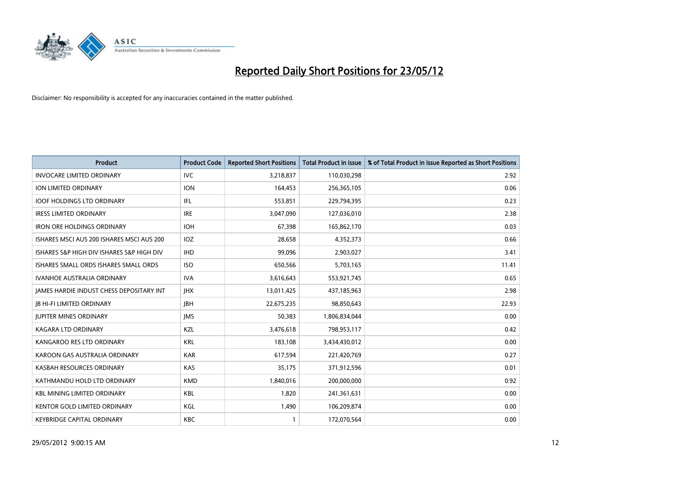

| <b>Product</b>                            | <b>Product Code</b> | <b>Reported Short Positions</b> | <b>Total Product in Issue</b> | % of Total Product in Issue Reported as Short Positions |
|-------------------------------------------|---------------------|---------------------------------|-------------------------------|---------------------------------------------------------|
| <b>INVOCARE LIMITED ORDINARY</b>          | <b>IVC</b>          | 3,218,837                       | 110,030,298                   | 2.92                                                    |
| <b>ION LIMITED ORDINARY</b>               | <b>ION</b>          | 164,453                         | 256,365,105                   | 0.06                                                    |
| <b>IOOF HOLDINGS LTD ORDINARY</b>         | IFL                 | 553,851                         | 229,794,395                   | 0.23                                                    |
| <b>IRESS LIMITED ORDINARY</b>             | <b>IRE</b>          | 3,047,090                       | 127,036,010                   | 2.38                                                    |
| <b>IRON ORE HOLDINGS ORDINARY</b>         | <b>IOH</b>          | 67,398                          | 165,862,170                   | 0.03                                                    |
| ISHARES MSCI AUS 200 ISHARES MSCI AUS 200 | <b>IOZ</b>          | 28,658                          | 4,352,373                     | 0.66                                                    |
| ISHARES S&P HIGH DIV ISHARES S&P HIGH DIV | <b>IHD</b>          | 99.096                          | 2,903,027                     | 3.41                                                    |
| ISHARES SMALL ORDS ISHARES SMALL ORDS     | <b>ISO</b>          | 650,566                         | 5,703,165                     | 11.41                                                   |
| <b>IVANHOE AUSTRALIA ORDINARY</b>         | <b>IVA</b>          | 3,616,643                       | 553,921,745                   | 0.65                                                    |
| JAMES HARDIE INDUST CHESS DEPOSITARY INT  | <b>IHX</b>          | 13,011,425                      | 437,185,963                   | 2.98                                                    |
| <b>JB HI-FI LIMITED ORDINARY</b>          | <b>IBH</b>          | 22,675,235                      | 98,850,643                    | 22.93                                                   |
| <b>JUPITER MINES ORDINARY</b>             | <b>IMS</b>          | 50,383                          | 1,806,834,044                 | 0.00                                                    |
| <b>KAGARA LTD ORDINARY</b>                | KZL                 | 3,476,618                       | 798,953,117                   | 0.42                                                    |
| KANGAROO RES LTD ORDINARY                 | <b>KRL</b>          | 183,108                         | 3,434,430,012                 | 0.00                                                    |
| KAROON GAS AUSTRALIA ORDINARY             | <b>KAR</b>          | 617,594                         | 221,420,769                   | 0.27                                                    |
| KASBAH RESOURCES ORDINARY                 | <b>KAS</b>          | 35,175                          | 371,912,596                   | 0.01                                                    |
| KATHMANDU HOLD LTD ORDINARY               | <b>KMD</b>          | 1,840,016                       | 200,000,000                   | 0.92                                                    |
| <b>KBL MINING LIMITED ORDINARY</b>        | <b>KBL</b>          | 1,820                           | 241,361,631                   | 0.00                                                    |
| <b>KENTOR GOLD LIMITED ORDINARY</b>       | KGL                 | 1,490                           | 106,209,874                   | 0.00                                                    |
| KEYBRIDGE CAPITAL ORDINARY                | <b>KBC</b>          |                                 | 172,070,564                   | 0.00                                                    |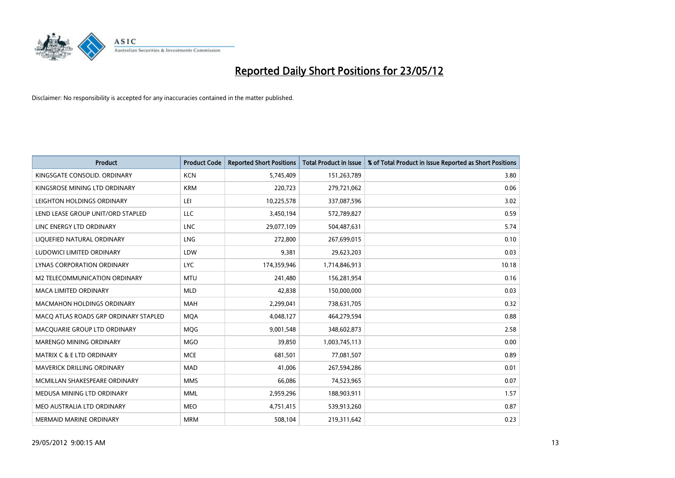

| <b>Product</b>                        | <b>Product Code</b> | <b>Reported Short Positions</b> | <b>Total Product in Issue</b> | % of Total Product in Issue Reported as Short Positions |
|---------------------------------------|---------------------|---------------------------------|-------------------------------|---------------------------------------------------------|
| KINGSGATE CONSOLID. ORDINARY          | <b>KCN</b>          | 5,745,409                       | 151,263,789                   | 3.80                                                    |
| KINGSROSE MINING LTD ORDINARY         | <b>KRM</b>          | 220,723                         | 279,721,062                   | 0.06                                                    |
| LEIGHTON HOLDINGS ORDINARY            | LEI                 | 10,225,578                      | 337,087,596                   | 3.02                                                    |
| LEND LEASE GROUP UNIT/ORD STAPLED     | LLC                 | 3,450,194                       | 572,789,827                   | 0.59                                                    |
| LINC ENERGY LTD ORDINARY              | <b>LNC</b>          | 29,077,109                      | 504,487,631                   | 5.74                                                    |
| LIQUEFIED NATURAL ORDINARY            | LNG                 | 272,800                         | 267,699,015                   | 0.10                                                    |
| LUDOWICI LIMITED ORDINARY             | LDW                 | 9,381                           | 29,623,203                    | 0.03                                                    |
| LYNAS CORPORATION ORDINARY            | <b>LYC</b>          | 174,359,946                     | 1,714,846,913                 | 10.18                                                   |
| <b>M2 TELECOMMUNICATION ORDINARY</b>  | <b>MTU</b>          | 241,480                         | 156,281,954                   | 0.16                                                    |
| <b>MACA LIMITED ORDINARY</b>          | <b>MLD</b>          | 42,838                          | 150,000,000                   | 0.03                                                    |
| <b>MACMAHON HOLDINGS ORDINARY</b>     | <b>MAH</b>          | 2,299,041                       | 738,631,705                   | 0.32                                                    |
| MACQ ATLAS ROADS GRP ORDINARY STAPLED | <b>MQA</b>          | 4,048,127                       | 464,279,594                   | 0.88                                                    |
| MACQUARIE GROUP LTD ORDINARY          | MQG                 | 9,001,548                       | 348,602,873                   | 2.58                                                    |
| MARENGO MINING ORDINARY               | <b>MGO</b>          | 39,850                          | 1,003,745,113                 | 0.00                                                    |
| <b>MATRIX C &amp; E LTD ORDINARY</b>  | <b>MCE</b>          | 681,501                         | 77,081,507                    | 0.89                                                    |
| <b>MAVERICK DRILLING ORDINARY</b>     | <b>MAD</b>          | 41,006                          | 267,594,286                   | 0.01                                                    |
| MCMILLAN SHAKESPEARE ORDINARY         | <b>MMS</b>          | 66,086                          | 74,523,965                    | 0.07                                                    |
| MEDUSA MINING LTD ORDINARY            | <b>MML</b>          | 2,959,296                       | 188,903,911                   | 1.57                                                    |
| MEO AUSTRALIA LTD ORDINARY            | <b>MEO</b>          | 4,751,415                       | 539,913,260                   | 0.87                                                    |
| MERMAID MARINE ORDINARY               | <b>MRM</b>          | 508,104                         | 219,311,642                   | 0.23                                                    |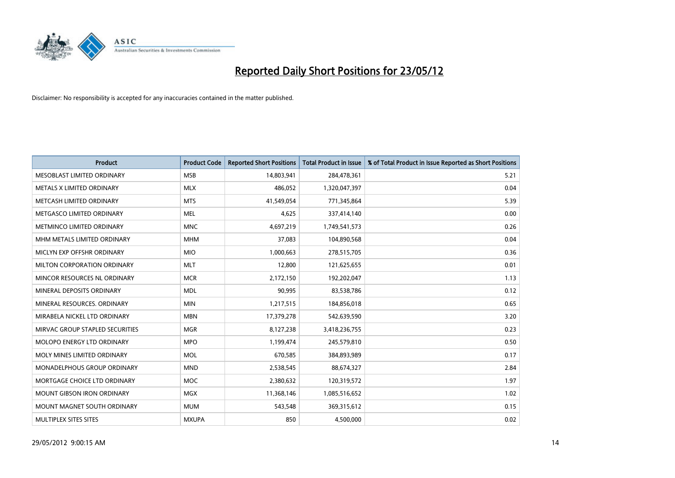

| <b>Product</b>                    | <b>Product Code</b> | <b>Reported Short Positions</b> | <b>Total Product in Issue</b> | % of Total Product in Issue Reported as Short Positions |
|-----------------------------------|---------------------|---------------------------------|-------------------------------|---------------------------------------------------------|
| MESOBLAST LIMITED ORDINARY        | <b>MSB</b>          | 14,803,941                      | 284,478,361                   | 5.21                                                    |
| METALS X LIMITED ORDINARY         | <b>MLX</b>          | 486,052                         | 1,320,047,397                 | 0.04                                                    |
| METCASH LIMITED ORDINARY          | <b>MTS</b>          | 41,549,054                      | 771,345,864                   | 5.39                                                    |
| METGASCO LIMITED ORDINARY         | <b>MEL</b>          | 4,625                           | 337,414,140                   | 0.00                                                    |
| METMINCO LIMITED ORDINARY         | <b>MNC</b>          | 4,697,219                       | 1,749,541,573                 | 0.26                                                    |
| MHM METALS LIMITED ORDINARY       | <b>MHM</b>          | 37,083                          | 104,890,568                   | 0.04                                                    |
| MICLYN EXP OFFSHR ORDINARY        | <b>MIO</b>          | 1,000,663                       | 278,515,705                   | 0.36                                                    |
| MILTON CORPORATION ORDINARY       | <b>MLT</b>          | 12,800                          | 121,625,655                   | 0.01                                                    |
| MINCOR RESOURCES NL ORDINARY      | <b>MCR</b>          | 2,172,150                       | 192,202,047                   | 1.13                                                    |
| MINERAL DEPOSITS ORDINARY         | <b>MDL</b>          | 90,995                          | 83,538,786                    | 0.12                                                    |
| MINERAL RESOURCES. ORDINARY       | <b>MIN</b>          | 1,217,515                       | 184,856,018                   | 0.65                                                    |
| MIRABELA NICKEL LTD ORDINARY      | <b>MBN</b>          | 17,379,278                      | 542,639,590                   | 3.20                                                    |
| MIRVAC GROUP STAPLED SECURITIES   | <b>MGR</b>          | 8,127,238                       | 3,418,236,755                 | 0.23                                                    |
| MOLOPO ENERGY LTD ORDINARY        | <b>MPO</b>          | 1,199,474                       | 245,579,810                   | 0.50                                                    |
| MOLY MINES LIMITED ORDINARY       | MOL                 | 670,585                         | 384,893,989                   | 0.17                                                    |
| MONADELPHOUS GROUP ORDINARY       | <b>MND</b>          | 2,538,545                       | 88,674,327                    | 2.84                                                    |
| MORTGAGE CHOICE LTD ORDINARY      | MOC                 | 2,380,632                       | 120,319,572                   | 1.97                                                    |
| <b>MOUNT GIBSON IRON ORDINARY</b> | <b>MGX</b>          | 11,368,146                      | 1,085,516,652                 | 1.02                                                    |
| MOUNT MAGNET SOUTH ORDINARY       | <b>MUM</b>          | 543,548                         | 369,315,612                   | 0.15                                                    |
| MULTIPLEX SITES SITES             | <b>MXUPA</b>        | 850                             | 4,500,000                     | 0.02                                                    |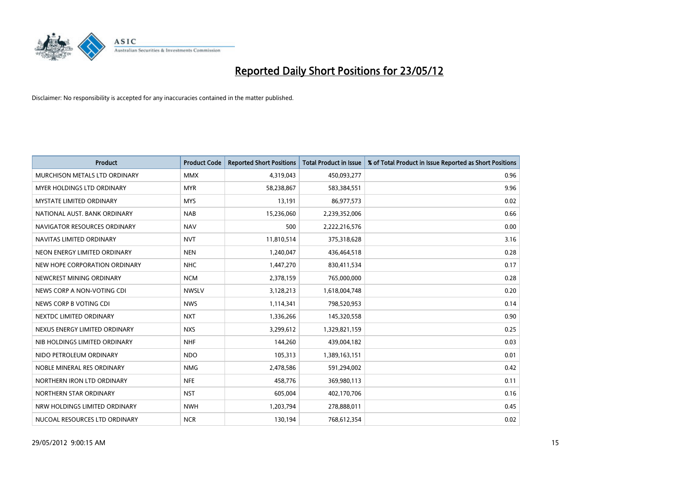

| <b>Product</b>                | <b>Product Code</b> | <b>Reported Short Positions</b> | <b>Total Product in Issue</b> | % of Total Product in Issue Reported as Short Positions |
|-------------------------------|---------------------|---------------------------------|-------------------------------|---------------------------------------------------------|
| MURCHISON METALS LTD ORDINARY | <b>MMX</b>          | 4,319,043                       | 450,093,277                   | 0.96                                                    |
| MYER HOLDINGS LTD ORDINARY    | <b>MYR</b>          | 58,238,867                      | 583,384,551                   | 9.96                                                    |
| MYSTATE LIMITED ORDINARY      | <b>MYS</b>          | 13,191                          | 86,977,573                    | 0.02                                                    |
| NATIONAL AUST. BANK ORDINARY  | <b>NAB</b>          | 15,236,060                      | 2,239,352,006                 | 0.66                                                    |
| NAVIGATOR RESOURCES ORDINARY  | <b>NAV</b>          | 500                             | 2,222,216,576                 | 0.00                                                    |
| NAVITAS LIMITED ORDINARY      | <b>NVT</b>          | 11,810,514                      | 375,318,628                   | 3.16                                                    |
| NEON ENERGY LIMITED ORDINARY  | <b>NEN</b>          | 1,240,047                       | 436,464,518                   | 0.28                                                    |
| NEW HOPE CORPORATION ORDINARY | <b>NHC</b>          | 1,447,270                       | 830,411,534                   | 0.17                                                    |
| NEWCREST MINING ORDINARY      | <b>NCM</b>          | 2,378,159                       | 765,000,000                   | 0.28                                                    |
| NEWS CORP A NON-VOTING CDI    | <b>NWSLV</b>        | 3,128,213                       | 1,618,004,748                 | 0.20                                                    |
| NEWS CORP B VOTING CDI        | <b>NWS</b>          | 1,114,341                       | 798,520,953                   | 0.14                                                    |
| NEXTDC LIMITED ORDINARY       | <b>NXT</b>          | 1,336,266                       | 145,320,558                   | 0.90                                                    |
| NEXUS ENERGY LIMITED ORDINARY | <b>NXS</b>          | 3,299,612                       | 1,329,821,159                 | 0.25                                                    |
| NIB HOLDINGS LIMITED ORDINARY | <b>NHF</b>          | 144,260                         | 439,004,182                   | 0.03                                                    |
| NIDO PETROLEUM ORDINARY       | <b>NDO</b>          | 105,313                         | 1,389,163,151                 | 0.01                                                    |
| NOBLE MINERAL RES ORDINARY    | <b>NMG</b>          | 2,478,586                       | 591,294,002                   | 0.42                                                    |
| NORTHERN IRON LTD ORDINARY    | <b>NFE</b>          | 458,776                         | 369,980,113                   | 0.11                                                    |
| NORTHERN STAR ORDINARY        | <b>NST</b>          | 605,004                         | 402,170,706                   | 0.16                                                    |
| NRW HOLDINGS LIMITED ORDINARY | <b>NWH</b>          | 1,203,794                       | 278,888,011                   | 0.45                                                    |
| NUCOAL RESOURCES LTD ORDINARY | <b>NCR</b>          | 130,194                         | 768,612,354                   | 0.02                                                    |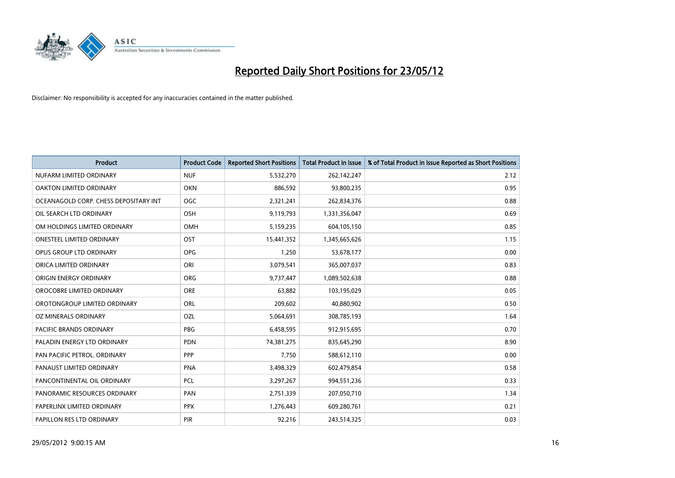

| <b>Product</b>                        | <b>Product Code</b> | <b>Reported Short Positions</b> | <b>Total Product in Issue</b> | % of Total Product in Issue Reported as Short Positions |
|---------------------------------------|---------------------|---------------------------------|-------------------------------|---------------------------------------------------------|
| NUFARM LIMITED ORDINARY               | <b>NUF</b>          | 5,532,270                       | 262,142,247                   | 2.12                                                    |
| OAKTON LIMITED ORDINARY               | <b>OKN</b>          | 886,592                         | 93,800,235                    | 0.95                                                    |
| OCEANAGOLD CORP. CHESS DEPOSITARY INT | <b>OGC</b>          | 2,321,241                       | 262,834,376                   | 0.88                                                    |
| OIL SEARCH LTD ORDINARY               | OSH                 | 9,119,793                       | 1,331,356,047                 | 0.69                                                    |
| OM HOLDINGS LIMITED ORDINARY          | OMH                 | 5,159,235                       | 604,105,150                   | 0.85                                                    |
| <b>ONESTEEL LIMITED ORDINARY</b>      | OST                 | 15,441,352                      | 1,345,665,626                 | 1.15                                                    |
| OPUS GROUP LTD ORDINARY               | <b>OPG</b>          | 1,250                           | 53,678,177                    | 0.00                                                    |
| ORICA LIMITED ORDINARY                | ORI                 | 3,079,541                       | 365,007,037                   | 0.83                                                    |
| ORIGIN ENERGY ORDINARY                | <b>ORG</b>          | 9,737,447                       | 1,089,502,638                 | 0.88                                                    |
| OROCOBRE LIMITED ORDINARY             | <b>ORE</b>          | 63,882                          | 103,195,029                   | 0.05                                                    |
| OROTONGROUP LIMITED ORDINARY          | ORL                 | 209,602                         | 40,880,902                    | 0.50                                                    |
| OZ MINERALS ORDINARY                  | <b>OZL</b>          | 5,064,691                       | 308,785,193                   | 1.64                                                    |
| PACIFIC BRANDS ORDINARY               | <b>PBG</b>          | 6,458,595                       | 912,915,695                   | 0.70                                                    |
| PALADIN ENERGY LTD ORDINARY           | <b>PDN</b>          | 74,381,275                      | 835,645,290                   | 8.90                                                    |
| PAN PACIFIC PETROL. ORDINARY          | <b>PPP</b>          | 7,750                           | 588,612,110                   | 0.00                                                    |
| PANAUST LIMITED ORDINARY              | <b>PNA</b>          | 3,498,329                       | 602,479,854                   | 0.58                                                    |
| PANCONTINENTAL OIL ORDINARY           | <b>PCL</b>          | 3,297,267                       | 994,551,236                   | 0.33                                                    |
| PANORAMIC RESOURCES ORDINARY          | PAN                 | 2,751,339                       | 207,050,710                   | 1.34                                                    |
| PAPERLINX LIMITED ORDINARY            | <b>PPX</b>          | 1,276,443                       | 609,280,761                   | 0.21                                                    |
| PAPILLON RES LTD ORDINARY             | PIR                 | 92,216                          | 243,514,325                   | 0.03                                                    |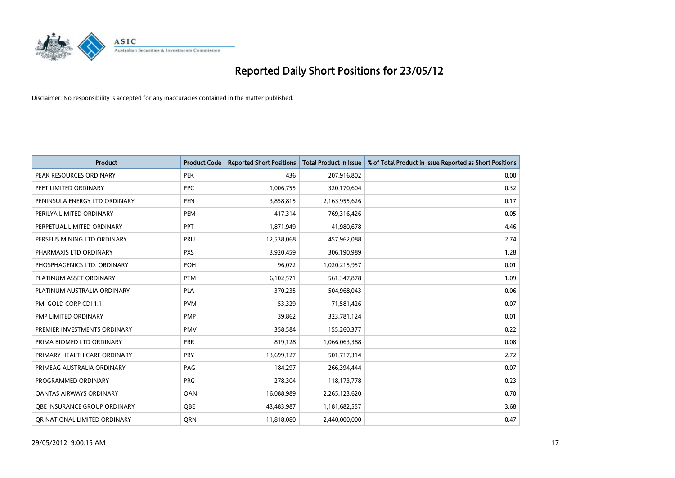

| <b>Product</b>                 | <b>Product Code</b> | <b>Reported Short Positions</b> | <b>Total Product in Issue</b> | % of Total Product in Issue Reported as Short Positions |
|--------------------------------|---------------------|---------------------------------|-------------------------------|---------------------------------------------------------|
| PEAK RESOURCES ORDINARY        | <b>PEK</b>          | 436                             | 207,916,802                   | 0.00                                                    |
| PEET LIMITED ORDINARY          | <b>PPC</b>          | 1,006,755                       | 320,170,604                   | 0.32                                                    |
| PENINSULA ENERGY LTD ORDINARY  | <b>PEN</b>          | 3,858,815                       | 2,163,955,626                 | 0.17                                                    |
| PERILYA LIMITED ORDINARY       | <b>PEM</b>          | 417,314                         | 769,316,426                   | 0.05                                                    |
| PERPETUAL LIMITED ORDINARY     | <b>PPT</b>          | 1,871,949                       | 41,980,678                    | 4.46                                                    |
| PERSEUS MINING LTD ORDINARY    | PRU                 | 12,538,068                      | 457,962,088                   | 2.74                                                    |
| PHARMAXIS LTD ORDINARY         | <b>PXS</b>          | 3,920,459                       | 306,190,989                   | 1.28                                                    |
| PHOSPHAGENICS LTD. ORDINARY    | POH                 | 96,072                          | 1,020,215,957                 | 0.01                                                    |
| PLATINUM ASSET ORDINARY        | <b>PTM</b>          | 6,102,571                       | 561,347,878                   | 1.09                                                    |
| PLATINUM AUSTRALIA ORDINARY    | <b>PLA</b>          | 370,235                         | 504,968,043                   | 0.06                                                    |
| PMI GOLD CORP CDI 1:1          | <b>PVM</b>          | 53,329                          | 71,581,426                    | 0.07                                                    |
| PMP LIMITED ORDINARY           | <b>PMP</b>          | 39,862                          | 323,781,124                   | 0.01                                                    |
| PREMIER INVESTMENTS ORDINARY   | <b>PMV</b>          | 358,584                         | 155,260,377                   | 0.22                                                    |
| PRIMA BIOMED LTD ORDINARY      | <b>PRR</b>          | 819,128                         | 1,066,063,388                 | 0.08                                                    |
| PRIMARY HEALTH CARE ORDINARY   | <b>PRY</b>          | 13,699,127                      | 501,717,314                   | 2.72                                                    |
| PRIMEAG AUSTRALIA ORDINARY     | PAG                 | 184,297                         | 266,394,444                   | 0.07                                                    |
| PROGRAMMED ORDINARY            | <b>PRG</b>          | 278,304                         | 118, 173, 778                 | 0.23                                                    |
| <b>QANTAS AIRWAYS ORDINARY</b> | QAN                 | 16,088,989                      | 2,265,123,620                 | 0.70                                                    |
| OBE INSURANCE GROUP ORDINARY   | <b>OBE</b>          | 43,483,987                      | 1,181,682,557                 | 3.68                                                    |
| OR NATIONAL LIMITED ORDINARY   | <b>ORN</b>          | 11,818,080                      | 2,440,000,000                 | 0.47                                                    |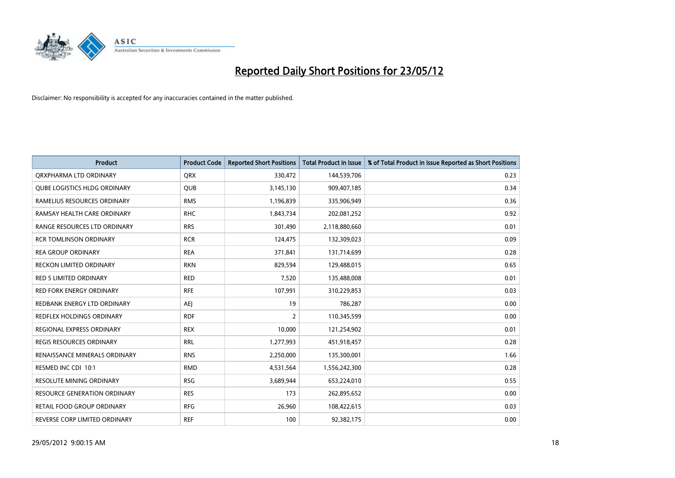

| <b>Product</b>                      | <b>Product Code</b> | <b>Reported Short Positions</b> | <b>Total Product in Issue</b> | % of Total Product in Issue Reported as Short Positions |
|-------------------------------------|---------------------|---------------------------------|-------------------------------|---------------------------------------------------------|
| ORXPHARMA LTD ORDINARY              | <b>QRX</b>          | 330,472                         | 144,539,706                   | 0.23                                                    |
| <b>QUBE LOGISTICS HLDG ORDINARY</b> | <b>QUB</b>          | 3,145,130                       | 909,407,185                   | 0.34                                                    |
| RAMELIUS RESOURCES ORDINARY         | <b>RMS</b>          | 1,196,839                       | 335,906,949                   | 0.36                                                    |
| RAMSAY HEALTH CARE ORDINARY         | <b>RHC</b>          | 1,843,734                       | 202,081,252                   | 0.92                                                    |
| RANGE RESOURCES LTD ORDINARY        | <b>RRS</b>          | 301,490                         | 2,118,880,660                 | 0.01                                                    |
| <b>RCR TOMLINSON ORDINARY</b>       | <b>RCR</b>          | 124,475                         | 132,309,023                   | 0.09                                                    |
| <b>REA GROUP ORDINARY</b>           | <b>REA</b>          | 371,841                         | 131,714,699                   | 0.28                                                    |
| RECKON LIMITED ORDINARY             | <b>RKN</b>          | 829,594                         | 129,488,015                   | 0.65                                                    |
| <b>RED 5 LIMITED ORDINARY</b>       | <b>RED</b>          | 7,520                           | 135,488,008                   | 0.01                                                    |
| <b>RED FORK ENERGY ORDINARY</b>     | <b>RFE</b>          | 107,991                         | 310,229,853                   | 0.03                                                    |
| REDBANK ENERGY LTD ORDINARY         | <b>AEJ</b>          | 19                              | 786,287                       | 0.00                                                    |
| <b>REDFLEX HOLDINGS ORDINARY</b>    | <b>RDF</b>          | $\overline{2}$                  | 110,345,599                   | 0.00                                                    |
| REGIONAL EXPRESS ORDINARY           | <b>REX</b>          | 10,000                          | 121,254,902                   | 0.01                                                    |
| <b>REGIS RESOURCES ORDINARY</b>     | <b>RRL</b>          | 1,277,993                       | 451,918,457                   | 0.28                                                    |
| RENAISSANCE MINERALS ORDINARY       | <b>RNS</b>          | 2,250,000                       | 135,300,001                   | 1.66                                                    |
| RESMED INC CDI 10:1                 | <b>RMD</b>          | 4,531,564                       | 1,556,242,300                 | 0.28                                                    |
| RESOLUTE MINING ORDINARY            | <b>RSG</b>          | 3,689,944                       | 653,224,010                   | 0.55                                                    |
| RESOURCE GENERATION ORDINARY        | <b>RES</b>          | 173                             | 262,895,652                   | 0.00                                                    |
| <b>RETAIL FOOD GROUP ORDINARY</b>   | <b>RFG</b>          | 26,960                          | 108,422,615                   | 0.03                                                    |
| REVERSE CORP LIMITED ORDINARY       | <b>REF</b>          | 100                             | 92,382,175                    | 0.00                                                    |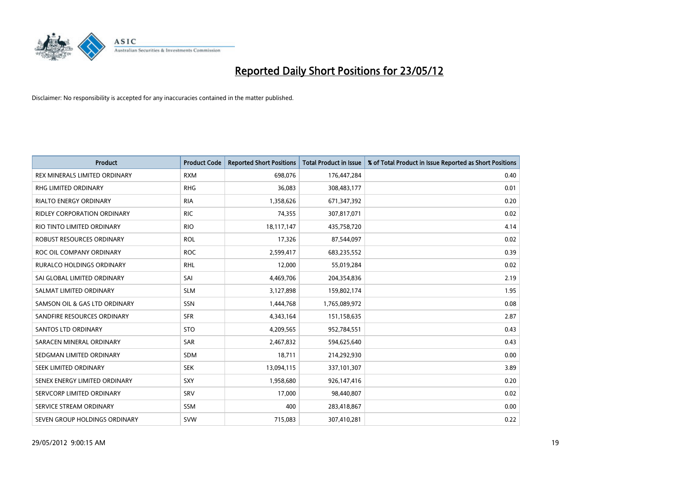

| <b>Product</b>                     | <b>Product Code</b> | <b>Reported Short Positions</b> | <b>Total Product in Issue</b> | % of Total Product in Issue Reported as Short Positions |
|------------------------------------|---------------------|---------------------------------|-------------------------------|---------------------------------------------------------|
| REX MINERALS LIMITED ORDINARY      | <b>RXM</b>          | 698,076                         | 176,447,284                   | 0.40                                                    |
| RHG LIMITED ORDINARY               | <b>RHG</b>          | 36,083                          | 308,483,177                   | 0.01                                                    |
| <b>RIALTO ENERGY ORDINARY</b>      | <b>RIA</b>          | 1,358,626                       | 671,347,392                   | 0.20                                                    |
| <b>RIDLEY CORPORATION ORDINARY</b> | <b>RIC</b>          | 74,355                          | 307,817,071                   | 0.02                                                    |
| RIO TINTO LIMITED ORDINARY         | <b>RIO</b>          | 18,117,147                      | 435,758,720                   | 4.14                                                    |
| ROBUST RESOURCES ORDINARY          | <b>ROL</b>          | 17,326                          | 87,544,097                    | 0.02                                                    |
| ROC OIL COMPANY ORDINARY           | <b>ROC</b>          | 2,599,417                       | 683,235,552                   | 0.39                                                    |
| RURALCO HOLDINGS ORDINARY          | <b>RHL</b>          | 12,000                          | 55,019,284                    | 0.02                                                    |
| SAI GLOBAL LIMITED ORDINARY        | SAI                 | 4,469,706                       | 204,354,836                   | 2.19                                                    |
| SALMAT LIMITED ORDINARY            | <b>SLM</b>          | 3,127,898                       | 159,802,174                   | 1.95                                                    |
| SAMSON OIL & GAS LTD ORDINARY      | SSN                 | 1,444,768                       | 1,765,089,972                 | 0.08                                                    |
| SANDFIRE RESOURCES ORDINARY        | <b>SFR</b>          | 4,343,164                       | 151,158,635                   | 2.87                                                    |
| <b>SANTOS LTD ORDINARY</b>         | <b>STO</b>          | 4,209,565                       | 952,784,551                   | 0.43                                                    |
| SARACEN MINERAL ORDINARY           | SAR                 | 2,467,832                       | 594,625,640                   | 0.43                                                    |
| SEDGMAN LIMITED ORDINARY           | <b>SDM</b>          | 18,711                          | 214,292,930                   | 0.00                                                    |
| SEEK LIMITED ORDINARY              | <b>SEK</b>          | 13,094,115                      | 337,101,307                   | 3.89                                                    |
| SENEX ENERGY LIMITED ORDINARY      | SXY                 | 1,958,680                       | 926,147,416                   | 0.20                                                    |
| SERVCORP LIMITED ORDINARY          | SRV                 | 17,000                          | 98,440,807                    | 0.02                                                    |
| SERVICE STREAM ORDINARY            | <b>SSM</b>          | 400                             | 283,418,867                   | 0.00                                                    |
| SEVEN GROUP HOLDINGS ORDINARY      | <b>SVW</b>          | 715,083                         | 307,410,281                   | 0.22                                                    |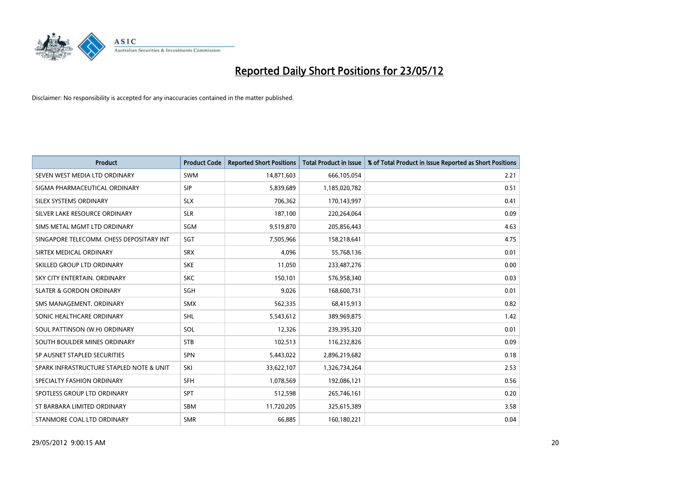

| <b>Product</b>                           | <b>Product Code</b> | <b>Reported Short Positions</b> | <b>Total Product in Issue</b> | % of Total Product in Issue Reported as Short Positions |
|------------------------------------------|---------------------|---------------------------------|-------------------------------|---------------------------------------------------------|
| SEVEN WEST MEDIA LTD ORDINARY            | <b>SWM</b>          | 14,871,603                      | 666,105,054                   | 2.21                                                    |
| SIGMA PHARMACEUTICAL ORDINARY            | <b>SIP</b>          | 5,839,689                       | 1,185,020,782                 | 0.51                                                    |
| <b>SILEX SYSTEMS ORDINARY</b>            | <b>SLX</b>          | 706,362                         | 170,143,997                   | 0.41                                                    |
| SILVER LAKE RESOURCE ORDINARY            | <b>SLR</b>          | 187,100                         | 220,264,064                   | 0.09                                                    |
| SIMS METAL MGMT LTD ORDINARY             | SGM                 | 9,519,870                       | 205,856,443                   | 4.63                                                    |
| SINGAPORE TELECOMM. CHESS DEPOSITARY INT | SGT                 | 7,505,966                       | 158,218,641                   | 4.75                                                    |
| SIRTEX MEDICAL ORDINARY                  | <b>SRX</b>          | 4,096                           | 55,768,136                    | 0.01                                                    |
| SKILLED GROUP LTD ORDINARY               | <b>SKE</b>          | 11,050                          | 233,487,276                   | 0.00                                                    |
| SKY CITY ENTERTAIN, ORDINARY             | <b>SKC</b>          | 150,101                         | 576,958,340                   | 0.03                                                    |
| <b>SLATER &amp; GORDON ORDINARY</b>      | SGH                 | 9,026                           | 168,600,731                   | 0.01                                                    |
| SMS MANAGEMENT. ORDINARY                 | <b>SMX</b>          | 562,335                         | 68,415,913                    | 0.82                                                    |
| SONIC HEALTHCARE ORDINARY                | <b>SHL</b>          | 5,543,612                       | 389,969,875                   | 1.42                                                    |
| SOUL PATTINSON (W.H) ORDINARY            | SOL                 | 12,326                          | 239,395,320                   | 0.01                                                    |
| SOUTH BOULDER MINES ORDINARY             | <b>STB</b>          | 102,513                         | 116,232,826                   | 0.09                                                    |
| SP AUSNET STAPLED SECURITIES             | SPN                 | 5,443,022                       | 2,896,219,682                 | 0.18                                                    |
| SPARK INFRASTRUCTURE STAPLED NOTE & UNIT | SKI                 | 33,622,107                      | 1,326,734,264                 | 2.53                                                    |
| SPECIALTY FASHION ORDINARY               | SFH                 | 1,078,569                       | 192,086,121                   | 0.56                                                    |
| SPOTLESS GROUP LTD ORDINARY              | <b>SPT</b>          | 512,598                         | 265,746,161                   | 0.20                                                    |
| ST BARBARA LIMITED ORDINARY              | <b>SBM</b>          | 11,720,205                      | 325,615,389                   | 3.58                                                    |
| STANMORE COAL LTD ORDINARY               | <b>SMR</b>          | 66,885                          | 160,180,221                   | 0.04                                                    |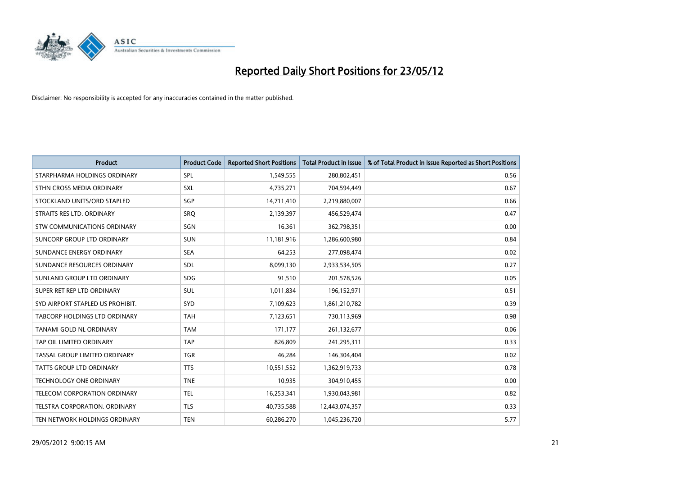

| <b>Product</b>                       | <b>Product Code</b> | <b>Reported Short Positions</b> | <b>Total Product in Issue</b> | % of Total Product in Issue Reported as Short Positions |
|--------------------------------------|---------------------|---------------------------------|-------------------------------|---------------------------------------------------------|
| STARPHARMA HOLDINGS ORDINARY         | SPL                 | 1,549,555                       | 280,802,451                   | 0.56                                                    |
| STHN CROSS MEDIA ORDINARY            | <b>SXL</b>          | 4,735,271                       | 704,594,449                   | 0.67                                                    |
| STOCKLAND UNITS/ORD STAPLED          | SGP                 | 14,711,410                      | 2,219,880,007                 | 0.66                                                    |
| STRAITS RES LTD. ORDINARY            | <b>SRQ</b>          | 2,139,397                       | 456,529,474                   | 0.47                                                    |
| STW COMMUNICATIONS ORDINARY          | SGN                 | 16,361                          | 362,798,351                   | 0.00                                                    |
| SUNCORP GROUP LTD ORDINARY           | <b>SUN</b>          | 11,181,916                      | 1,286,600,980                 | 0.84                                                    |
| SUNDANCE ENERGY ORDINARY             | <b>SEA</b>          | 64,253                          | 277,098,474                   | 0.02                                                    |
| SUNDANCE RESOURCES ORDINARY          | SDL                 | 8,099,130                       | 2,933,534,505                 | 0.27                                                    |
| SUNLAND GROUP LTD ORDINARY           | <b>SDG</b>          | 91,510                          | 201,578,526                   | 0.05                                                    |
| SUPER RET REP LTD ORDINARY           | <b>SUL</b>          | 1,011,834                       | 196,152,971                   | 0.51                                                    |
| SYD AIRPORT STAPLED US PROHIBIT.     | <b>SYD</b>          | 7,109,623                       | 1,861,210,782                 | 0.39                                                    |
| <b>TABCORP HOLDINGS LTD ORDINARY</b> | <b>TAH</b>          | 7,123,651                       | 730,113,969                   | 0.98                                                    |
| TANAMI GOLD NL ORDINARY              | <b>TAM</b>          | 171,177                         | 261,132,677                   | 0.06                                                    |
| TAP OIL LIMITED ORDINARY             | <b>TAP</b>          | 826,809                         | 241,295,311                   | 0.33                                                    |
| TASSAL GROUP LIMITED ORDINARY        | <b>TGR</b>          | 46,284                          | 146,304,404                   | 0.02                                                    |
| TATTS GROUP LTD ORDINARY             | <b>TTS</b>          | 10,551,552                      | 1,362,919,733                 | 0.78                                                    |
| TECHNOLOGY ONE ORDINARY              | <b>TNE</b>          | 10,935                          | 304,910,455                   | 0.00                                                    |
| TELECOM CORPORATION ORDINARY         | <b>TEL</b>          | 16,253,341                      | 1,930,043,981                 | 0.82                                                    |
| TELSTRA CORPORATION, ORDINARY        | <b>TLS</b>          | 40,735,588                      | 12,443,074,357                | 0.33                                                    |
| TEN NETWORK HOLDINGS ORDINARY        | <b>TEN</b>          | 60,286,270                      | 1,045,236,720                 | 5.77                                                    |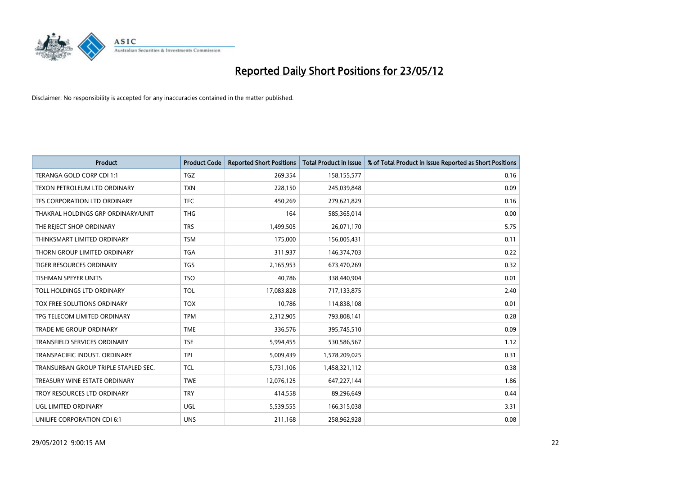

| <b>Product</b>                       | <b>Product Code</b> | <b>Reported Short Positions</b> | <b>Total Product in Issue</b> | % of Total Product in Issue Reported as Short Positions |
|--------------------------------------|---------------------|---------------------------------|-------------------------------|---------------------------------------------------------|
| TERANGA GOLD CORP CDI 1:1            | <b>TGZ</b>          | 269,354                         | 158,155,577                   | 0.16                                                    |
| TEXON PETROLEUM LTD ORDINARY         | <b>TXN</b>          | 228,150                         | 245,039,848                   | 0.09                                                    |
| TFS CORPORATION LTD ORDINARY         | <b>TFC</b>          | 450,269                         | 279,621,829                   | 0.16                                                    |
| THAKRAL HOLDINGS GRP ORDINARY/UNIT   | <b>THG</b>          | 164                             | 585,365,014                   | 0.00                                                    |
| THE REJECT SHOP ORDINARY             | <b>TRS</b>          | 1,499,505                       | 26,071,170                    | 5.75                                                    |
| THINKSMART LIMITED ORDINARY          | <b>TSM</b>          | 175,000                         | 156,005,431                   | 0.11                                                    |
| THORN GROUP LIMITED ORDINARY         | <b>TGA</b>          | 311,937                         | 146,374,703                   | 0.22                                                    |
| TIGER RESOURCES ORDINARY             | <b>TGS</b>          | 2,165,953                       | 673,470,269                   | 0.32                                                    |
| <b>TISHMAN SPEYER UNITS</b>          | <b>TSO</b>          | 40,786                          | 338,440,904                   | 0.01                                                    |
| TOLL HOLDINGS LTD ORDINARY           | <b>TOL</b>          | 17,083,828                      | 717,133,875                   | 2.40                                                    |
| TOX FREE SOLUTIONS ORDINARY          | <b>TOX</b>          | 10,786                          | 114,838,108                   | 0.01                                                    |
| TPG TELECOM LIMITED ORDINARY         | <b>TPM</b>          | 2,312,905                       | 793,808,141                   | 0.28                                                    |
| TRADE ME GROUP ORDINARY              | <b>TME</b>          | 336,576                         | 395,745,510                   | 0.09                                                    |
| <b>TRANSFIELD SERVICES ORDINARY</b>  | <b>TSE</b>          | 5,994,455                       | 530,586,567                   | 1.12                                                    |
| TRANSPACIFIC INDUST. ORDINARY        | <b>TPI</b>          | 5,009,439                       | 1,578,209,025                 | 0.31                                                    |
| TRANSURBAN GROUP TRIPLE STAPLED SEC. | TCL                 | 5,731,106                       | 1,458,321,112                 | 0.38                                                    |
| TREASURY WINE ESTATE ORDINARY        | <b>TWE</b>          | 12,076,125                      | 647,227,144                   | 1.86                                                    |
| TROY RESOURCES LTD ORDINARY          | <b>TRY</b>          | 414,558                         | 89,296,649                    | 0.44                                                    |
| UGL LIMITED ORDINARY                 | UGL                 | 5,539,555                       | 166,315,038                   | 3.31                                                    |
| UNILIFE CORPORATION CDI 6:1          | <b>UNS</b>          | 211,168                         | 258,962,928                   | 0.08                                                    |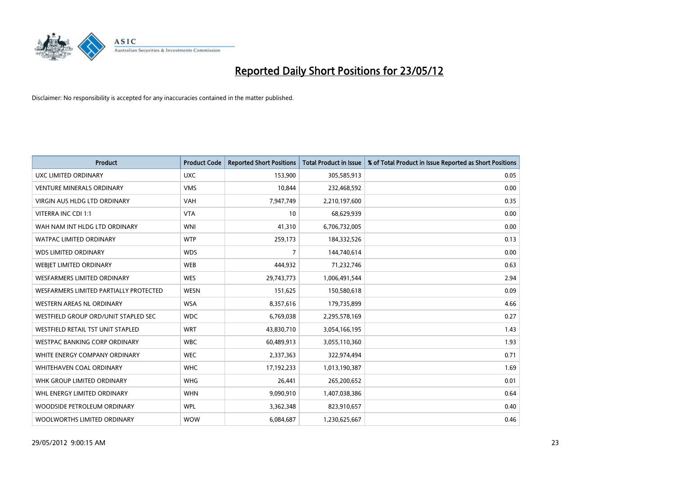

| <b>Product</b>                         | <b>Product Code</b> | <b>Reported Short Positions</b> | <b>Total Product in Issue</b> | % of Total Product in Issue Reported as Short Positions |
|----------------------------------------|---------------------|---------------------------------|-------------------------------|---------------------------------------------------------|
| UXC LIMITED ORDINARY                   | <b>UXC</b>          | 153,900                         | 305,585,913                   | 0.05                                                    |
| <b>VENTURE MINERALS ORDINARY</b>       | <b>VMS</b>          | 10,844                          | 232,468,592                   | 0.00                                                    |
| <b>VIRGIN AUS HLDG LTD ORDINARY</b>    | <b>VAH</b>          | 7,947,749                       | 2,210,197,600                 | 0.35                                                    |
| VITERRA INC CDI 1:1                    | <b>VTA</b>          | 10                              | 68,629,939                    | 0.00                                                    |
| WAH NAM INT HLDG LTD ORDINARY          | <b>WNI</b>          | 41,310                          | 6,706,732,005                 | 0.00                                                    |
| <b>WATPAC LIMITED ORDINARY</b>         | <b>WTP</b>          | 259,173                         | 184,332,526                   | 0.13                                                    |
| <b>WDS LIMITED ORDINARY</b>            | <b>WDS</b>          | 7                               | 144,740,614                   | 0.00                                                    |
| WEBIET LIMITED ORDINARY                | <b>WEB</b>          | 444,932                         | 71,232,746                    | 0.63                                                    |
| WESFARMERS LIMITED ORDINARY            | <b>WES</b>          | 29,743,773                      | 1,006,491,544                 | 2.94                                                    |
| WESFARMERS LIMITED PARTIALLY PROTECTED | <b>WESN</b>         | 151,625                         | 150,580,618                   | 0.09                                                    |
| WESTERN AREAS NL ORDINARY              | <b>WSA</b>          | 8,357,616                       | 179,735,899                   | 4.66                                                    |
| WESTFIELD GROUP ORD/UNIT STAPLED SEC   | <b>WDC</b>          | 6,769,038                       | 2,295,578,169                 | 0.27                                                    |
| WESTFIELD RETAIL TST UNIT STAPLED      | <b>WRT</b>          | 43,830,710                      | 3,054,166,195                 | 1.43                                                    |
| <b>WESTPAC BANKING CORP ORDINARY</b>   | <b>WBC</b>          | 60,489,913                      | 3,055,110,360                 | 1.93                                                    |
| WHITE ENERGY COMPANY ORDINARY          | <b>WEC</b>          | 2,337,363                       | 322,974,494                   | 0.71                                                    |
| <b>WHITEHAVEN COAL ORDINARY</b>        | <b>WHC</b>          | 17,192,233                      | 1,013,190,387                 | 1.69                                                    |
| WHK GROUP LIMITED ORDINARY             | <b>WHG</b>          | 26,441                          | 265,200,652                   | 0.01                                                    |
| WHL ENERGY LIMITED ORDINARY            | <b>WHN</b>          | 9,090,910                       | 1,407,038,386                 | 0.64                                                    |
| WOODSIDE PETROLEUM ORDINARY            | <b>WPL</b>          | 3,362,348                       | 823,910,657                   | 0.40                                                    |
| WOOLWORTHS LIMITED ORDINARY            | <b>WOW</b>          | 6,084,687                       | 1,230,625,667                 | 0.46                                                    |